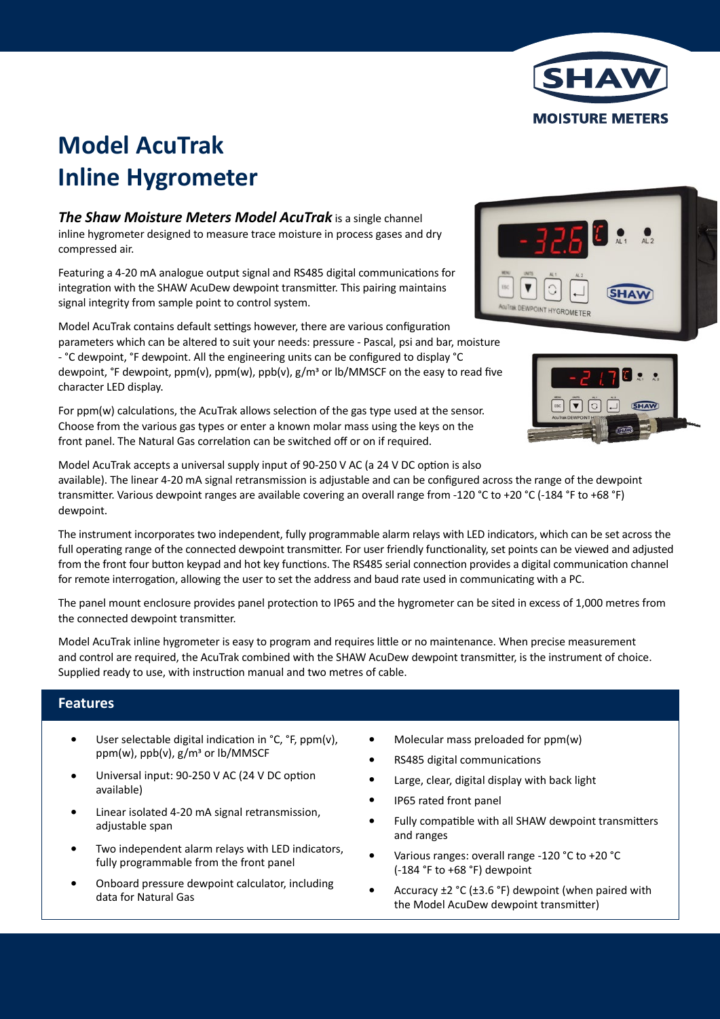

# **Model AcuTrak Inline Hygrometer**

*The Shaw Moisture Meters Model AcuTrak* is a single channel inline hygrometer designed to measure trace moisture in process gases and dry compressed air.

Featuring a 4-20 mA analogue output signal and RS485 digital communications for integration with the SHAW AcuDew dewpoint transmitter. This pairing maintains signal integrity from sample point to control system.

Model AcuTrak contains default settings however, there are various configuration parameters which can be altered to suit your needs: pressure - Pascal, psi and bar, moisture - °C dewpoint, °F dewpoint. All the engineering units can be configured to display °C dewpoint, °F dewpoint, ppm(v), ppm(w), ppb(v), g/m<sup>3</sup> or lb/MMSCF on the easy to read five character LED display.

For ppm(w) calculations, the AcuTrak allows selection of the gas type used at the sensor. Choose from the various gas types or enter a known molar mass using the keys on the front panel. The Natural Gas correlation can be switched off or on if required.





Model AcuTrak accepts a universal supply input of 90-250 V AC (a 24 V DC option is also

available). The linear 4-20 mA signal retransmission is adjustable and can be configured across the range of the dewpoint transmitter. Various dewpoint ranges are available covering an overall range from -120 °C to +20 °C (-184 °F to +68 °F) dewpoint.

The instrument incorporates two independent, fully programmable alarm relays with LED indicators, which can be set across the full operating range of the connected dewpoint transmitter. For user friendly functionality, set points can be viewed and adjusted from the front four button keypad and hot key functions. The RS485 serial connection provides a digital communication channel for remote interrogation, allowing the user to set the address and baud rate used in communicating with a PC.

The panel mount enclosure provides panel protection to IP65 and the hygrometer can be sited in excess of 1,000 metres from the connected dewpoint transmitter.

Model AcuTrak inline hygrometer is easy to program and requires little or no maintenance. When precise measurement and control are required, the AcuTrak combined with the SHAW AcuDew dewpoint transmitter, is the instrument of choice. Supplied ready to use, with instruction manual and two metres of cable.

## **Features**

- User selectable digital indication in °C, °F, ppm(v), ppm(w), ppb(v), g/m3 or lb/MMSCF •
- Universal input: 90-250 V AC (24 V DC option available) •
- Linear isolated 4-20 mA signal retransmission, adjustable span •
- Two independent alarm relays with LED indicators, fully programmable from the front panel •
- Onboard pressure dewpoint calculator, including data for Natural Gas •
- Molecular mass preloaded for ppm(w) •
- RS485 digital communications •
- Large, clear, digital display with back light •
- IP65 rated front panel •
- Fully compatible with all SHAW dewpoint transmitters and ranges •
- Various ranges: overall range -120 °C to +20 °C (-184 °F to +68 °F) dewpoint •
- Accuracy ±2 °C (±3.6 °F) dewpoint (when paired with the Model AcuDew dewpoint transmitter) •